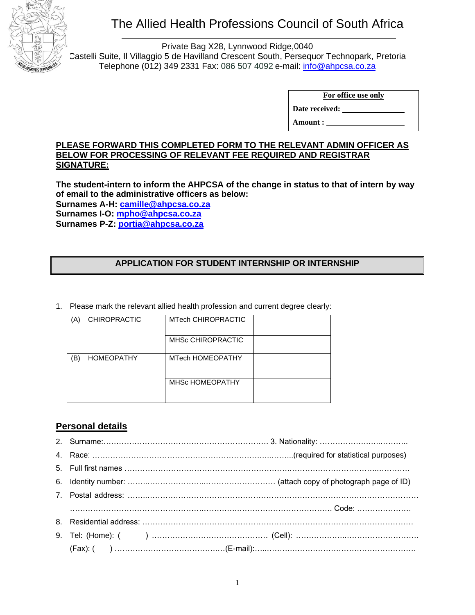

# The Allied Health Professions Council of South Africa

Private Bag X28, Lynnwood Ridge,0040 Castelli Suite, Il Villaggio 5 de Havilland Crescent South, Persequor Technopark, Pretoria Telephone (012) 349 2331 Fax: 086 507 4092 e-mail: [info@ahpcsa.co.za](mailto:info@ahpcsa.co.za)

**For office use only**

**Date received:** 

**Amount :** 

#### **PLEASE FORWARD THIS COMPLETED FORM TO THE RELEVANT ADMIN OFFICER AS BELOW FOR PROCESSING OF RELEVANT FEE REQUIRED AND REGISTRAR SIGNATURE:**

**The student-intern to inform the AHPCSA of the change in status to that of intern by way of email to the administrative officers as below: Surnames A-H: [camille@ahpcsa.co.za](mailto:camille@ahpcsa.co.za) Surnames I-O: [mpho@ahpcsa.co.za](mailto:mpho@ahpcsa.co.za) Surnames P-Z: [portia@ahpcsa.co.za](mailto:portia@ahpcsa.co.za)**

## **APPLICATION FOR STUDENT INTERNSHIP OR INTERNSHIP**

1. Please mark the relevant allied health profession and current degree clearly:

| A. | <b>CHIROPRACTIC</b> | <b>MTech CHIROPRACTIC</b> |  |
|----|---------------------|---------------------------|--|
|    |                     | <b>MHSc CHIROPRACTIC</b>  |  |
| B  | <b>HOMEOPATHY</b>   | MTech HOMEOPATHY          |  |
|    |                     | <b>MHSC HOMEOPATHY</b>    |  |

## **Personal details**

2. Surname:………………………………………………………. 3. Nationality: ……………….…..……….. 4. Race: ………………………………….…………………….…..……...(required for statistical purposes) 5. Full first names ……………………………………………………….……………………………..………… 6. Identity number: ……..…………………..……………………… (attach copy of photograph page of ID) 7. Postal address: ……..…………………………………………………………………………………………… …………………………………………….………….………………………………. Code: ………………… 8. Residential address: …………………………………………………………………………………………… 9. Tel: (Home): ( ) ……………………………………… (Cell): ………………..………………………. (Fax): ( ) ………………………………….…(E-mail):…..……….…………………………………………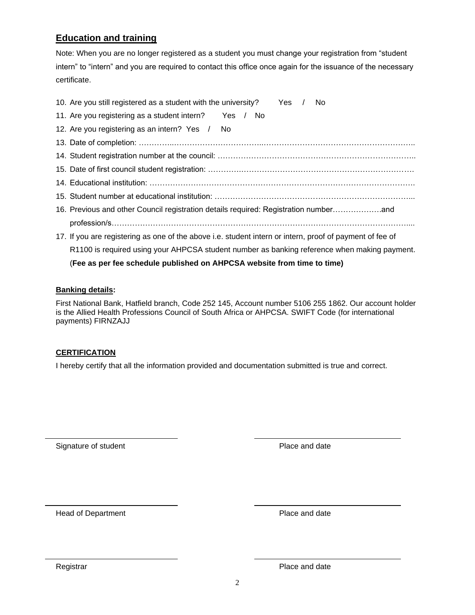## **Education and training**

Note: When you are no longer registered as a student you must change your registration from "student intern" to "intern" and you are required to contact this office once again for the issuance of the necessary certificate.

|                                                                         | 10. Are you still registered as a student with the university?<br>. No<br>Yes /                          |  |  |  |
|-------------------------------------------------------------------------|----------------------------------------------------------------------------------------------------------|--|--|--|
|                                                                         | 11. Are you registering as a student intern?<br>Yes / No                                                 |  |  |  |
|                                                                         | 12. Are you registering as an intern? Yes /<br>No.                                                       |  |  |  |
|                                                                         |                                                                                                          |  |  |  |
|                                                                         |                                                                                                          |  |  |  |
|                                                                         |                                                                                                          |  |  |  |
|                                                                         |                                                                                                          |  |  |  |
|                                                                         |                                                                                                          |  |  |  |
|                                                                         |                                                                                                          |  |  |  |
|                                                                         |                                                                                                          |  |  |  |
|                                                                         | 17. If you are registering as one of the above i.e. student intern or intern, proof of payment of fee of |  |  |  |
|                                                                         | R1100 is required using your AHPCSA student number as banking reference when making payment.             |  |  |  |
| (Fee as per fee schedule published on AHPCSA website from time to time) |                                                                                                          |  |  |  |

#### **Banking details:**

First National Bank, Hatfield branch, Code 252 145, Account number 5106 255 1862. Our account holder is the Allied Health Professions Council of South Africa or AHPCSA. SWIFT Code (for international payments) FIRNZAJJ

#### **CERTIFICATION**

I hereby certify that all the information provided and documentation submitted is true and correct.

Signature of student **Place and date** 

Head of Department **Place and date** 

Registrar **Place and date**